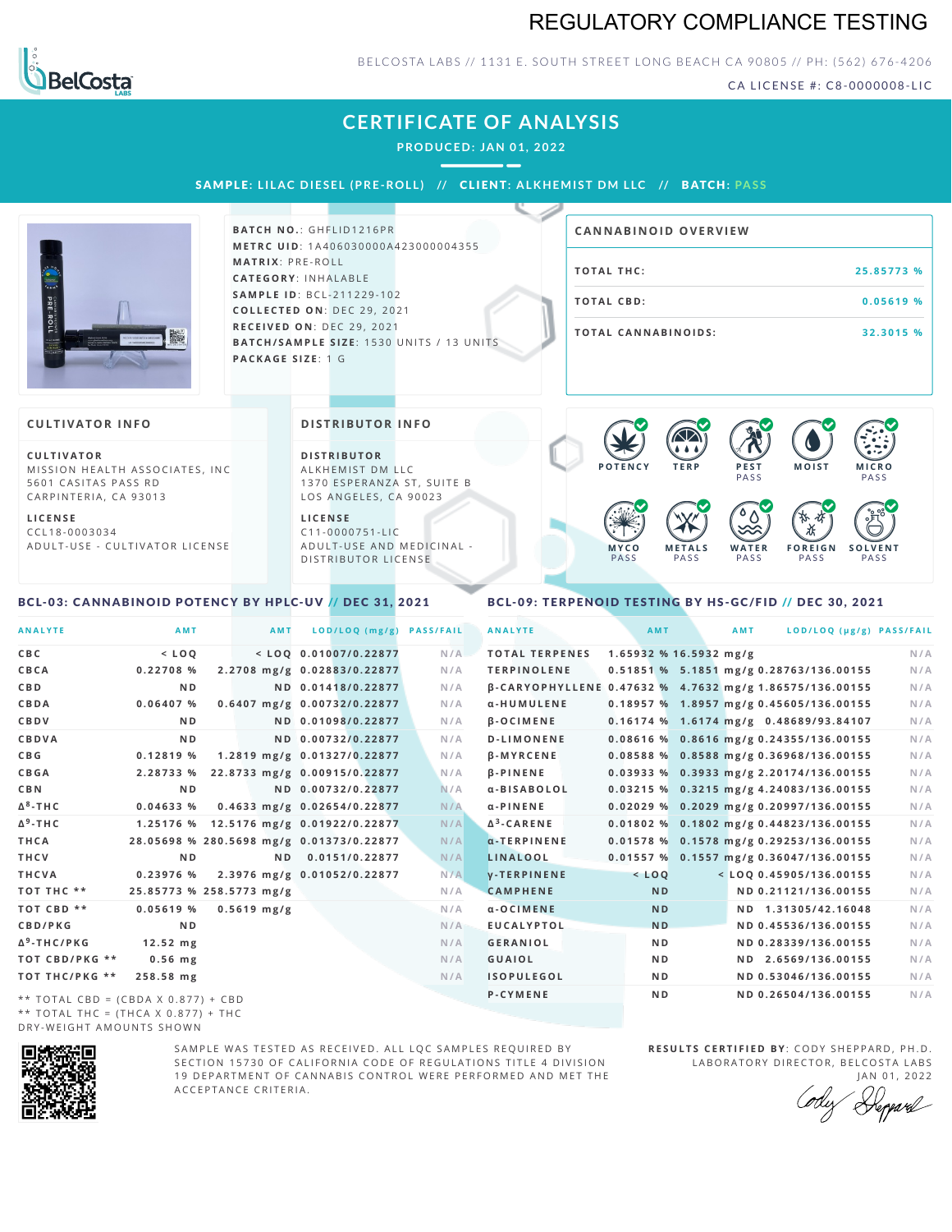## REGULATORY COMPLIANCE TESTING



### BELCOSTA LABS // 1131 E. SOUTH STREET LONG BEACH CA 90805 // PH: (562) 676-4206

CA LICENSE #: C8-0000008-LIC

## **CERTIFICATE OF ANALYSIS**

**PRODUCED: JAN 01, 2022**

SAMPLE: LILAC DIESEL (PRE-ROLL) // CLIENT: ALKHEMIST DM LLC // BATCH: PASS



**BATCH NO.: GHFLID1216PR M E T R C U ID** :1 A 4 0 6 0 3 0 0 0 0 A 4 2 3 0 0 0 0 0 4 3 5 5 **M AT R I X** :P R E - R O L L **CAT E G O R Y** : I N H A L A B L E **SA M P L E I D** :B C L - 2 1 1 2 2 9 - 1 0 2 **C O L L E C T E D O N** :D E C 2 9 , 2 0 2 1 **R E C E I V E D O N** : D E C 2 9 , 2 0 2 1 **BATCH/SAMPLE SIZE:** 1530 UNITS / 13 UNITS **PAC KA G E S I Z E** : 1 G

# **T O TAL T H C :2 5 . 8 5 7 7 3 % T O TAL CB D :0 . 0 5 6 1 9 % T O TAL CA N N ABI N O I D S : 3 2 . 3 0 1 5 % CA N N ABI N OID OVERVI EW**

#### **CULTIVATOR I N FO**

**C U L T I VAT O R** MISSION HEALTH ASSOCIATES, INC 5601 CASITAS PASS RD CARPINTERIA, CA 93013

**L I C E N S E** C C L 1 8 - 0 0 0 3 0 3 4 A D U L T - U S E - C U L T I V A T O R L I C E N S E **DI STRIBUTOR I N FO**

**D I S T R IB U T O R** ALKHEMIST DM LLC 1370 ESPERANZA ST, SUITE B LOS ANGELES, CA 90023

**L I C E N S E**  $C11 - 0000751 - L$ A D U L T - U S E A N D M E D I C I N A L -DISTRIBUTOR LICENSE



#### <span id="page-0-0"></span>BCL-03: CANNABINOID POTENCY BY HPLC-UV // DEC 31, 2021

### <span id="page-0-1"></span>BCL-09: TERPENOID TESTING BY HS-GC/FID // DEC 30, 2021

| <b>ANALYTE</b>                      | AMT                      | <b>AMT</b>    | LOD/LOQ (mg/g)                           | <b>PASS/FAIL</b> | <b>ANALYTE</b>                                          | AMT                    | AMT | LOD/LOQ (µg/g) PASS/FAIL                  |     |
|-------------------------------------|--------------------------|---------------|------------------------------------------|------------------|---------------------------------------------------------|------------------------|-----|-------------------------------------------|-----|
| C B C                               | $<$ LOQ                  |               | $<$ LOO 0.01007/0.22877                  | N/A              | <b>TOTAL TERPENES</b>                                   | 1.65932 % 16.5932 mg/g |     |                                           | N/A |
| CBCA                                | 0.22708%                 |               | 2.2708 mg/g 0.02883/0.22877              | N/A              | <b>TERPINOLENE</b>                                      |                        |     | 0.51851 % 5.1851 mg/g 0.28763/136.00155   | N/A |
| C B D                               | N <sub>D</sub>           |               | ND 0.01418/0.22877                       | N/A              | B-CARYOPHYLLENE 0.47632 % 4.7632 mg/g 1.86575/136.00155 |                        |     |                                           | N/A |
| CBDA                                | 0.06407%                 |               | 0.6407 mg/g 0.00732/0.22877              | N/A              | α-HUMULENE                                              |                        |     | $0.18957$ % 1.8957 mg/g 0.45605/136.00155 | N/A |
| CBDV                                | ND.                      |               | ND 0.01098/0.22877                       | N/A              | $\beta$ -OCIMENE                                        |                        |     | 0.16174 % 1.6174 mg/g 0.48689/93.84107    | N/A |
| CBDVA                               | N <sub>D</sub>           |               | ND 0.00732/0.22877                       | N/A              | <b>D-LIMONENE</b>                                       |                        |     | 0.08616 % 0.8616 mg/g 0.24355/136.00155   | N/A |
| C B G                               | 0.12819 %                |               | 1.2819 mg/g 0.01327/0.22877              | N/A              | <b>B-MYRCENE</b>                                        |                        |     | 0.08588 % 0.8588 mg/g 0.36968/136.00155   | N/A |
| <b>CBGA</b>                         | 2.28733 %                |               | 22.8733 mg/g 0.00915/0.22877             | N/A              | <b>B-PINENE</b>                                         |                        |     | $0.03933$ % 0.3933 mg/g 2.20174/136.00155 | N/A |
| C B N                               | N <sub>D</sub>           |               | ND 0.00732/0.22877                       | N/A              | α-BISABOLOL                                             |                        |     | 0.03215 % 0.3215 mg/g 4.24083/136.00155   | N/A |
| Δ <sup>8</sup> -ΤΗ C                | 0.04633%                 |               | 0.4633 mg/g 0.02654/0.22877              | N/A              | $\alpha$ -PINENE                                        |                        |     | $0.02029$ % 0.2029 mg/g 0.20997/136.00155 | N/A |
| Δ <sup>9</sup> -ΤΗ C                | 1.25176 %                |               | 12.5176 mg/g 0.01922/0.22877             | N/A              | $\Delta^3$ -CARENE                                      |                        |     | 0.01802 % 0.1802 mg/g 0.44823/136.00155   | N/A |
| THCA                                |                          |               | 28.05698 % 280.5698 mg/g 0.01373/0.22877 | N/A              | $\alpha$ -TERPINENE                                     |                        |     | 0.01578 % 0.1578 mg/g 0.29253/136.00155   | N/A |
| THCV                                | N <sub>D</sub>           | N D           | 0.0151/0.22877                           | N/A              | LINALOOL                                                |                        |     | $0.01557$ % 0.1557 mg/g 0.36047/136.00155 | N/A |
| THCVA                               | 0.23976 %                |               | 2.3976 mg/g 0.01052/0.22877              | N/A              | <b>V-TERPINENE</b>                                      | $<$ $LOQ$              |     | $<$ LOQ 0.45905/136.00155                 | N/A |
| тот тнс **                          | 25.85773 % 258.5773 mg/g |               |                                          | N/A              | <b>CAMPHENE</b>                                         | <b>ND</b>              |     | ND 0.21121/136.00155                      | N/A |
| TOT CBD **                          | 0.05619%                 | $0.5619$ mg/g |                                          | N/A              | $a - O$ $C$ $I$ $M$ $E$ $N$ $E$                         | <b>ND</b>              |     | ND 1.31305/42.16048                       | N/A |
| <b>CBD/PKG</b>                      | N <sub>D</sub>           |               |                                          | N/A              | <b>EUCALYPTOL</b>                                       | <b>ND</b>              |     | ND 0.45536/136.00155                      | N/A |
| Δ <sup>9</sup> -THC/PKG             | $12.52 \, \text{mg}$     |               |                                          | N/A              | <b>GERANIOL</b>                                         | N <sub>D</sub>         |     | ND 0.28339/136.00155                      | N/A |
| ТОТ СВD/РКG **                      | $0.56$ mg                |               |                                          | N/A              | <b>GUAIOL</b>                                           | N <sub>D</sub>         |     | ND 2.6569/136.00155                       | N/A |
| ТОТ ТНС/РКG **                      | 258.58 mg                |               |                                          | N/A              | <b>ISOPULEGOL</b>                                       | N <sub>D</sub>         |     | ND 0.53046/136.00155                      | N/A |
| ** TOTAL CBD = (CBDA X 0.877) + CBD |                          |               |                                          |                  | <b>P-CYMENE</b>                                         | N <sub>D</sub>         |     | ND 0.26504/136.00155                      | N/A |
|                                     |                          |               |                                          |                  |                                                         |                        |     |                                           |     |

\*\* TOTAL THC = (THCA X  $0.877$ ) + THC DRY-WEIGHT AMOUNTS SHOWN



SAMPLE WAS TESTED AS RECEIVED. ALL LOC SAMPLES REOUIRED BY SECTION 15730 OF CALIFORNIA CODE OF REGULATIONS TITLE 4 DIVISION 19 DEPARTMENT OF CANNABIS CONTROL WERE PERFORMED AND MET THE A C C E P T A N C E C R I T E R I A.

**RESULTS CERTIFIED BY: CODY SHEPPARD, PH.D.** LABORATORY DIRECTOR, BELCOSTA LABS JAN 01, 2022

Deppard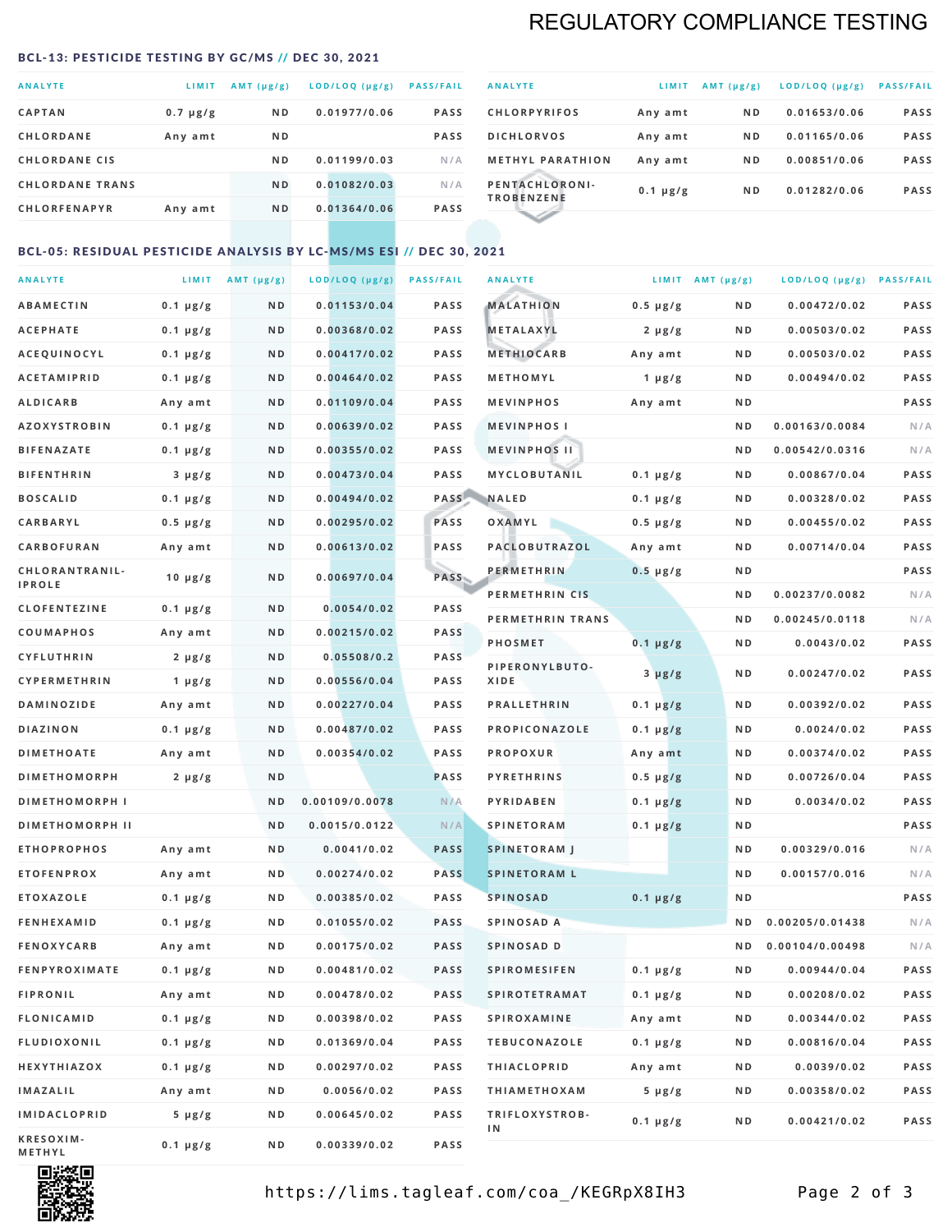## REGULATORY COMPLIANCE TESTING

#### <span id="page-1-0"></span>BCL-13: PESTICIDE TESTING BY GC/MS // DEC 30, 2021

| <b>ANALYTE</b>         | LIMIT         | $AMT$ ( $\mu g/g$ ) | LOD/LOQ (µg/g) | <b>PASS/FAIL</b> |
|------------------------|---------------|---------------------|----------------|------------------|
| <b>CAPTAN</b>          | $0.7 \mu g/g$ | N <sub>D</sub>      | 0.01977/0.06   | <b>PASS</b>      |
| <b>CHLORDANE</b>       | Any amt       | N <sub>D</sub>      |                | <b>PASS</b>      |
| <b>CHLORDANE CIS</b>   |               | N <sub>D</sub>      | 0.01199/0.03   | N/A              |
| <b>CHLORDANE TRANS</b> |               | N <sub>D</sub>      | 0.01082/0.03   | N/A              |
| <b>CHLORFENAPYR</b>    | Any amt       | N <sub>D</sub>      | 0.01364/0.06   | <b>PASS</b>      |
|                        |               |                     |                |                  |

| <b>ANALYTE</b>                      | LIMIT         | $AMT (\mu g/g)$ | LOD/LOQ (µg/g) | <b>PASS/FAIL</b> |
|-------------------------------------|---------------|-----------------|----------------|------------------|
| <b>CHLORPYRIFOS</b>                 | Any amt       | N <sub>D</sub>  | 0.01653/0.06   | <b>PASS</b>      |
| <b>DICHLORVOS</b>                   | Any amt       | N <sub>D</sub>  | 0.01165/0.06   | <b>PASS</b>      |
| <b>METHYL PARATHION</b>             | Any amt       | N <sub>D</sub>  | 0.00851/0.06   | <b>PASS</b>      |
| PENTACHLORONI-<br><b>TROBENZENE</b> | $0.1 \mu g/g$ | N <sub>D</sub>  | 0.01282/0.06   | <b>PASS</b>      |
|                                     |               |                 |                |                  |

## BCL-05: RESIDUAL PESTICIDE ANALYSIS BY LC-MS/MS ESI // DEC 30, 2021

| <b>ANALYTE</b>             |               | LIMIT $AMT(\mu g/g)$ | LOD/LOQ (µg/g) | <b>PASS/FAIL</b> | <b>ANALYTE</b>       |                  | LIMIT AMT $(\mu g/g)$ | LOD/LOQ (µg/g) PASS/FAIL |      |
|----------------------------|---------------|----------------------|----------------|------------------|----------------------|------------------|-----------------------|--------------------------|------|
| <b>ABAMECTIN</b>           | $0.1 \mu g/g$ | N D                  | 0.01153/0.04   | <b>PASS</b>      | <b>MALATHION</b>     | $0.5 \mu g/g$    | N D                   | 0.00472/0.02             | PASS |
| <b>ACEPHATE</b>            | $0.1 \mu g/g$ | N D                  | 0.00368/0.02   | <b>PASS</b>      | <b>METALAXYL</b>     | $2 \mu g/g$      | N D                   | 0.00503/0.02             | PASS |
| ACEQUINOCYL                | $0.1 \mu g/g$ | N D                  | 0.00417/0.02   | <b>PASS</b>      | <b>METHIOCARB</b>    | Any amt          | N D                   | 0.00503/0.02             | PASS |
| <b>ACETAMIPRID</b>         | $0.1 \mu g/g$ | N D                  | 0.00464/0.02   | <b>PASS</b>      | METHOMYL             | 1 $\mu$ g/g      | N D                   | 0.00494/0.02             | PASS |
| <b>ALDICARB</b>            | Any amt       | N D                  | 0.01109/0.04   | <b>PASS</b>      | <b>MEVINPHOS</b>     | Any amt          | N D                   |                          | PASS |
| <b>AZOXYSTROBIN</b>        | $0.1 \mu g/g$ | N D                  | 0.00639/0.02   | <b>PASS</b>      | <b>MEVINPHOSI</b>    |                  | N D                   | 0.00163/0.0084           | N/A  |
| <b>BIFENAZATE</b>          | $0.1 \mu g/g$ | N D                  | 0.00355/0.02   | <b>PASS</b>      | <b>MEVINPHOS II</b>  |                  | N D                   | 0.00542/0.0316           | N/A  |
| <b>BIFENTHRIN</b>          | $3 \mu g/g$   | N D                  | 0.00473/0.04   | <b>PASS</b>      | <b>MYCLOBUTANIL</b>  | $0.1 \mu g/g$    | N D                   | 0.00867/0.04             | PASS |
| <b>BOSCALID</b>            | $0.1 \mu g/g$ | N D                  | 0.00494/0.02   | PASS             | <b>NALED</b>         | $0.1 \mu g/g$    | N D                   | 0.00328/0.02             | PASS |
| CARBARYL                   | $0.5 \mu g/g$ | N D                  | 0.00295/0.02   | PASS             | OXAMYL               | $0.5 \, \mu g/g$ | N D                   | 0.00455/0.02             | PASS |
| CARBOFURAN                 | Any amt       | N D                  | 0.00613/0.02   | <b>PASS</b>      | PACLOBUTRAZOL        | Any amt          | N D                   | 0.00714/0.04             | PASS |
| CHLORANTRANIL-             | $10 \mu g/g$  | N D                  | 0.00697/0.04   | PASS             | <b>PERMETHRIN</b>    | $0.5 \mu g/g$    | N D                   |                          | PASS |
| <b>IPROLE</b>              |               |                      |                |                  | PERMETHRIN CIS       |                  | N D                   | 0.00237/0.0082           | N/A  |
| <b>CLOFENTEZINE</b>        | $0.1 \mu g/g$ | N D                  | 0.0054/0.02    | <b>PASS</b>      | PERMETHRIN TRANS     |                  | N D                   | 0.00245/0.0118           | N/A  |
| <b>COUMAPHOS</b>           | Any amt       | N D                  | 0.00215/0.02   | <b>PASS</b>      | <b>PHOSMET</b>       | $0.1 \, \mu g/g$ | N D                   | 0.0043/0.02              | PASS |
| <b>CYFLUTHRIN</b>          | $2 \mu g/g$   | N D                  | 0.05508/0.2    | <b>PASS</b>      | PIPERONYLBUTO-       | $3 \mu g/g$      | N D                   | 0.00247/0.02             | PASS |
| CYPERMETHRIN               | 1 $\mu$ g/g   | N D                  | 0.00556/0.04   | <b>PASS</b>      | XIDE                 |                  |                       |                          |      |
| <b>DAMINOZIDE</b>          | Any amt       | N D                  | 0.00227/0.04   | <b>PASS</b>      | <b>PRALLETHRIN</b>   | $0.1 \mu g/g$    | N D                   | 0.00392/0.02             | PASS |
| <b>DIAZINON</b>            | $0.1 \mu g/g$ | N D                  | 0.00487/0.02   | <b>PASS</b>      | PROPICONAZOLE        | $0.1 \mu g/g$    | N D                   | 0.0024/0.02              | PASS |
| <b>DIMETHOATE</b>          | Any amt       | N D                  | 0.00354/0.02   | <b>PASS</b>      | <b>PROPOXUR</b>      | Any amt          | N D                   | 0.00374/0.02             | PASS |
| <b>DIMETHOMORPH</b>        | $2 \mu g/g$   | ND                   |                | PASS             | <b>PYRETHRINS</b>    | $0.5 \mu g/g$    | N D                   | 0.00726/0.04             | PASS |
| <b>DIMETHOMORPH I</b>      |               | ND                   | 0.00109/0.0078 | N/A              | <b>PYRIDABEN</b>     | $0.1 \mu g/g$    | N D                   | 0.0034/0.02              | PASS |
| <b>DIMETHOMORPH II</b>     |               | ND                   | 0.0015/0.0122  | N/A              | <b>SPINETORAM</b>    | $0.1 \mu g/g$    | N D                   |                          | PASS |
| <b>ETHOPROPHOS</b>         | Any amt       | N D                  | 0.0041/0.02    | <b>PASS</b>      | <b>SPINETORAM J</b>  |                  | N D                   | 0.00329/0.016            | N/A  |
| <b>ETOFENPROX</b>          | Any amt       | N D                  | 0.00274/0.02   | <b>PASS</b>      | <b>SPINETORAM L</b>  |                  | N D                   | 0.00157/0.016            | N/A  |
| <b>ETOXAZOLE</b>           | $0.1 \mu g/g$ | ND.                  | 0.00385/0.02   | <b>PASS</b>      | <b>SPINOSAD</b>      | $0.1 \mu g/g$    | N D                   |                          | PASS |
| <b>FENHEXAMID</b>          | $0.1 \mu g/g$ | N D                  | 0.01055/0.02   | <b>PASS</b>      | SPINOSAD A           |                  | N D                   | 0.00205/0.01438          | N/A  |
| <b>FENOXYCARB</b>          | Any amt       | N D                  | 0.00175/0.02   | <b>PASS</b>      | SPINOSAD D           |                  | ND.                   | 0.00104/0.00498          | N/A  |
| <b>FENPYROXIMATE</b>       | $0.1 \mu g/g$ | N D                  | 0.00481/0.02   | <b>PASS</b>      | <b>SPIROMESIFEN</b>  | $0.1 \, \mu g/g$ | N D                   | 0.00944/0.04             | PASS |
| <b>FIPRONIL</b>            | Any amt       | N D                  | 0.00478/0.02   | PASS             | <b>SPIROTETRAMAT</b> | $0.1 \mu g/g$    | N D                   | 0.00208/0.02             | PASS |
| <b>FLONICAMID</b>          | $0.1 \mu g/g$ | N D                  | 0.00398/0.02   | PASS             | <b>SPIROXAMINE</b>   | Any amt          | N D                   | 0.00344/0.02             | PASS |
| <b>FLUDIOXONIL</b>         | $0.1 \mu g/g$ | N D                  | 0.01369/0.04   | PASS             | <b>TEBUCONAZOLE</b>  | $0.1 \mu g/g$    | N D                   | 0.00816/0.04             | PASS |
| HEXYTHIAZOX                | 0.1 µg/g      | N D                  | 0.00297/0.02   | PASS             | <b>THIACLOPRID</b>   | Any amt          | N D                   | 0.0039/0.02              | PASS |
| <b>IMAZALIL</b>            | Any amt       | N D                  | 0.0056/0.02    | PASS             | <b>THIAMETHOXAM</b>  | $5 \mu g/g$      | N D                   | 0.00358/0.02             | PASS |
| <b>IMIDACLOPRID</b>        | $5 \mu g/g$   | N D                  | 0.00645/0.02   | PASS             | TRIFLOXYSTROB-<br>1N | $0.1 \mu g/g$    | N D                   | 0.00421/0.02             | PASS |
| KRESOXIM-<br><b>METHYL</b> | $0.1 \mu g/g$ | N D                  | 0.00339/0.02   | PASS             |                      |                  |                       |                          |      |